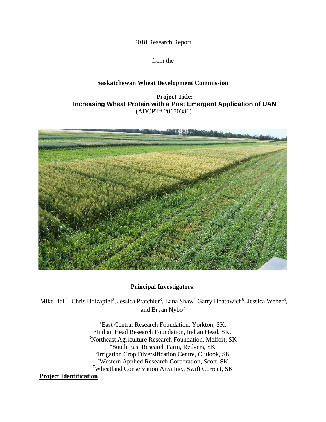2018 Research Report

from the

## **Saskatchewan Wheat Development Commission**

**Project Title: Increasing Wheat Protein with a Post Emergent Application of UAN** (ADOPT# 20170386)



## **Principal Investigators:**

Mike Hall<sup>1</sup>, Chris Holzapfel<sup>2</sup>, Jessica Pratchler<sup>3</sup>, Lana Shaw<sup>4</sup> Garry Hnatowich<sup>5</sup>, Jessica Weber<sup>6</sup>, and Bryan Nybo<sup>7</sup>

> <sup>1</sup>East Central Research Foundation, Yorkton, SK. <sup>2</sup>Indian Head Research Foundation, Indian Head, SK. <sup>3</sup>Northeast Agriculture Research Foundation, Melfort, SK <sup>4</sup>South East Research Farm, Redvers, SK <sup>5</sup>Irrigation Crop Diversification Centre, Outlook, SK <sup>6</sup>Western Applied Research Corporation, Scott, SK <sup>7</sup>Wheatland Conservation Area Inc., Swift Current, SK

## **Project Identification**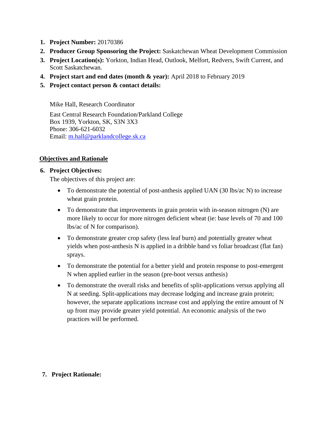- **1. Project Number:** 20170386
- **2. Producer Group Sponsoring the Project:** Saskatchewan Wheat Development Commission
- **3. Project Location(s):** Yorkton, Indian Head, Outlook, Melfort, Redvers, Swift Current, and Scott Saskatchewan.
- **4. Project start and end dates (month & year):** April 2018 to February 2019
- **5. Project contact person & contact details:**

Mike Hall, Research Coordinator

East Central Research Foundation/Parkland College Box 1939, Yorkton, SK, S3N 3X3 Phone: 306-621-6032 Email: [m.hall@parklandcollege.sk.ca](mailto:m.hall@parklandcollege.sk.ca)

## **Objectives and Rationale**

### **6. Project Objectives:**

The objectives of this project are:

- To demonstrate the potential of post-anthesis applied UAN (30 lbs/ac N) to increase wheat grain protein.
- To demonstrate that improvements in grain protein with in-season nitrogen (N) are more likely to occur for more nitrogen deficient wheat (ie: base levels of 70 and 100 lbs/ac of N for comparison).
- To demonstrate greater crop safety (less leaf burn) and potentially greater wheat yields when post-anthesis N is applied in a dribble band vs foliar broadcast (flat fan) sprays.
- To demonstrate the potential for a better yield and protein response to post-emergent N when applied earlier in the season (pre-boot versus anthesis)
- To demonstrate the overall risks and benefits of split-applications versus applying all N at seeding. Split-applications may decrease lodging and increase grain protein; however, the separate applications increase cost and applying the entire amount of N up front may provide greater yield potential. An economic analysis of the two practices will be performed.

## **7. Project Rationale:**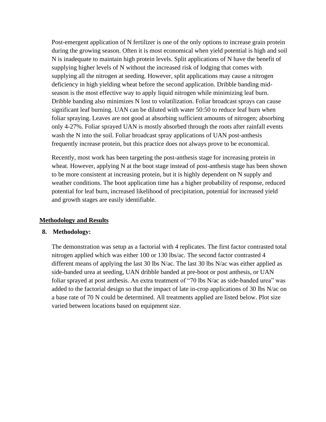Post-emergent application of N fertilizer is one of the only options to increase grain protein during the growing season. Often it is most economical when yield potential is high and soil N is inadequate to maintain high protein levels. Split applications of N have the benefit of supplying higher levels of N without the increased risk of lodging that comes with supplying all the nitrogen at seeding. However, split applications may cause a nitrogen deficiency in high yielding wheat before the second application. Dribble banding midseason is the most effective way to apply liquid nitrogen while minimizing leaf burn. Dribble banding also minimizes N lost to volatilization. Foliar broadcast sprays can cause significant leaf burning. UAN can be diluted with water 50:50 to reduce leaf burn when foliar spraying. Leaves are not good at absorbing sufficient amounts of nitrogen; absorbing only 4-27%. Foliar sprayed UAN is mostly absorbed through the roots after rainfall events wash the N into the soil. Foliar broadcast spray applications of UAN post-anthesis frequently increase protein, but this practice does not always prove to be economical.

Recently, most work has been targeting the post-anthesis stage for increasing protein in wheat. However, applying N at the boot stage instead of post-anthesis stage has been shown to be more consistent at increasing protein, but it is highly dependent on N supply and weather conditions. The boot application time has a higher probability of response, reduced potential for leaf burn, increased likelihood of precipitation, potential for increased yield and growth stages are easily identifiable.

### **Methodology and Results**

### **8. Methodology:**

The demonstration was setup as a factorial with 4 replicates. The first factor contrasted total nitrogen applied which was either 100 or 130 lbs/ac. The second factor contrasted 4 different means of applying the last 30 lbs N/ac. The last 30 lbs N/ac was either applied as side-banded urea at seeding, UAN dribble banded at pre-boot or post anthesis, or UAN foliar sprayed at post anthesis. An extra treatment of "70 lbs N/ac as side-banded urea" was added to the factorial design so that the impact of late in-crop applications of 30 lbs N/ac on a base rate of 70 N could be determined. All treatments applied are listed below. Plot size varied between locations based on equipment size.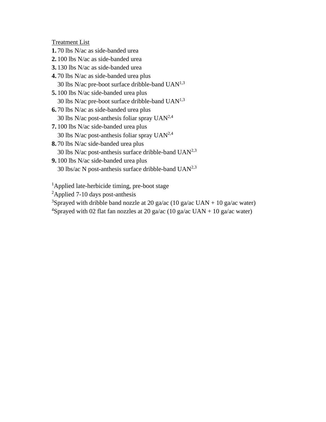Treatment List

- **1.** 70 lbs N/ac as side-banded urea
- **2.** 100 lbs N/ac as side-banded urea
- **3.** 130 lbs N/ac as side-banded urea
- **4.** 70 lbs N/ac as side-banded urea plus 30 lbs N/ac pre-boot surface dribble-band UAN1,3
- **5.** 100 lbs N/ac side-banded urea plus 30 lbs N/ac pre-boot surface dribble-band  $UAN^{1,3}$
- **6.** 70 lbs N/ac as side-banded urea plus 30 lbs N/ac post-anthesis foliar spray  $UAN<sup>2,4</sup>$
- **7.** 100 lbs N/ac side-banded urea plus 30 lbs N/ac post-anthesis foliar spray  $UAN<sup>2,4</sup>$
- **8.** 70 lbs N/ac side-banded urea plus 30 lbs N/ac post-anthesis surface dribble-band  $UAN<sup>2,3</sup>$
- **9.** 100 lbs N/ac side-banded urea plus 30 lbs/ac N post-anthesis surface dribble-band  $UAN<sup>2,3</sup>$

<sup>1</sup>Applied late-herbicide timing, pre-boot stage

- <sup>2</sup>Applied 7-10 days post-anthesis
- <sup>3</sup>Sprayed with dribble band nozzle at 20 ga/ac (10 ga/ac UAN + 10 ga/ac water)
- <sup>4</sup>Sprayed with 02 flat fan nozzles at 20 ga/ac (10 ga/ac UAN + 10 ga/ac water)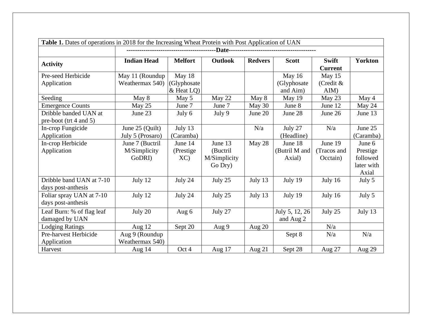|                             | Table 1. Dates of operations in 2018 for the Increasing Wheat Protein with Post Application of UAN |                |              |                |                |                         |                |  |  |  |  |  |  |
|-----------------------------|----------------------------------------------------------------------------------------------------|----------------|--------------|----------------|----------------|-------------------------|----------------|--|--|--|--|--|--|
|                             |                                                                                                    |                |              |                |                |                         |                |  |  |  |  |  |  |
| <b>Activity</b>             | <b>Indian Head</b>                                                                                 | <b>Melfort</b> | Outlook      | <b>Redvers</b> | <b>Scott</b>   | Swift<br><b>Current</b> | <b>Yorkton</b> |  |  |  |  |  |  |
| Pre-seed Herbicide          | May 11 (Roundup                                                                                    | May 18         |              |                | May 16         | May 15                  |                |  |  |  |  |  |  |
| Application                 | Weathermax 540)                                                                                    | (Glyphosate    |              |                | (Glyphosate    | (Credit &               |                |  |  |  |  |  |  |
|                             |                                                                                                    | $&$ Heat LQ)   |              |                | and Aim)       | AIM)                    |                |  |  |  |  |  |  |
| Seeding                     | May 8                                                                                              | May 5          | May 22       | May 8          | May 19         | May 23                  | May 4          |  |  |  |  |  |  |
| <b>Emergence Counts</b>     | May 25                                                                                             | June 7         | June 7       | May 30         | June 8         | June 12                 | May 24         |  |  |  |  |  |  |
| Dribble banded UAN at       | June 23                                                                                            | July 6         | July 9       | June 20        | June 28        | June 26                 | June 13        |  |  |  |  |  |  |
| pre-boot (trt $4$ and $5$ ) |                                                                                                    |                |              |                |                |                         |                |  |  |  |  |  |  |
| In-crop Fungicide           | June 25 (Quilt)                                                                                    | July $13$      |              | N/a            | July 27        | N/a                     | June 25        |  |  |  |  |  |  |
| Application                 | July 5 (Prosaro)                                                                                   | (Caramba)      |              |                | (Headline)     |                         | (Caramba)      |  |  |  |  |  |  |
| In-crop Herbicide           | June 7 (Buctril                                                                                    | June 14        | June 13      | May 28         | June 18        | June 19                 | June 6         |  |  |  |  |  |  |
| Application                 | M/Simplicity                                                                                       | (Prestige)     | (Buctril     |                | (Butril M and  | (Tracos and             | Prestige       |  |  |  |  |  |  |
|                             | GoDRI)                                                                                             | XC             | M/Simplicity |                | Axial)         | Occtain)                | followed       |  |  |  |  |  |  |
|                             |                                                                                                    |                | Go Dry)      |                |                |                         | later with     |  |  |  |  |  |  |
|                             |                                                                                                    |                |              |                |                |                         | Axial          |  |  |  |  |  |  |
| Dribble band UAN at 7-10    | July 12                                                                                            | July 24        | July 25      | July 13        | July 19        | July 16                 | July $5$       |  |  |  |  |  |  |
| days post-anthesis          |                                                                                                    |                |              |                |                |                         |                |  |  |  |  |  |  |
| Foliar spray UAN at 7-10    | July 12                                                                                            | July 24        | July 25      | July 13        | July 19        | July 16                 | July 5         |  |  |  |  |  |  |
| days post-anthesis          |                                                                                                    |                |              |                |                |                         |                |  |  |  |  |  |  |
| Leaf Burn: % of flag leaf   | July 20                                                                                            | Aug 6          | July 27      |                | July 5, 12, 26 | July 25                 | July 13        |  |  |  |  |  |  |
| damaged by UAN              |                                                                                                    |                |              |                | and Aug 2      |                         |                |  |  |  |  |  |  |
| <b>Lodging Ratings</b>      | Aug 12                                                                                             | Sept 20        | Aug 9        | Aug 20         |                | N/a                     |                |  |  |  |  |  |  |
| Pre-harvest Herbicide       | Aug 9 (Roundup                                                                                     |                |              |                | Sept 8         | N/a                     | N/a            |  |  |  |  |  |  |
| Application                 | Weathermax 540)                                                                                    |                |              |                |                |                         |                |  |  |  |  |  |  |
| Harvest                     | Aug 14                                                                                             | Oct 4          | Aug 17       | Aug 21         | Sept 28        | Aug 27                  | Aug 29         |  |  |  |  |  |  |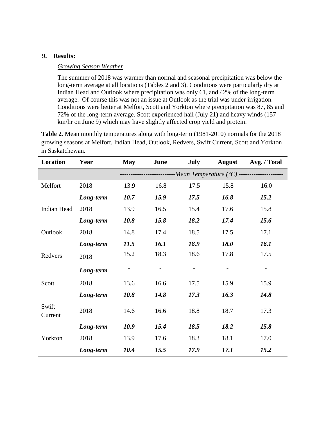### **9. Results:**

### *Growing Season Weather*

The summer of 2018 was warmer than normal and seasonal precipitation was below the long-term average at all locations (Tables 2 and 3). Conditions were particularly dry at Indian Head and Outlook where precipitation was only 61, and 42% of the long-term average. Of course this was not an issue at Outlook as the trial was under irrigation. Conditions were better at Melfort, Scott and Yorkton where precipitation was 87, 85 and 72% of the long-term average. Scott experienced hail (July 21) and heavy winds (157 km/hr on June 9) which may have slightly affected crop yield and protein.

**Table 2.** Mean monthly temperatures along with long-term (1981-2010) normals for the 2018 growing seasons at Melfort, Indian Head, Outlook, Redvers, Swift Current, Scott and Yorkton in Saskatchewan.

| Location         | Year      | <b>May</b> | June        | <b>July</b> | <b>August</b> | Avg. / Total                                                          |
|------------------|-----------|------------|-------------|-------------|---------------|-----------------------------------------------------------------------|
|                  |           |            |             |             |               | --------------------------Mean Temperature (°C) --------------------- |
| Melfort          | 2018      | 13.9       | 16.8        | 17.5        | 15.8          | 16.0                                                                  |
|                  | Long-term | 10.7       | 15.9        | 17.5        | 16.8          | 15.2                                                                  |
| Indian Head      | 2018      | 13.9       | 16.5        | 15.4        | 17.6          | 15.8                                                                  |
|                  | Long-term | 10.8       | 15.8        | 18.2        | 17.4          | 15.6                                                                  |
| Outlook          | 2018      | 14.8       | 17.4        | 18.5        | 17.5          | 17.1                                                                  |
|                  | Long-term | 11.5       | <i>16.1</i> | 18.9        | <b>18.0</b>   | <i>16.1</i>                                                           |
| Redvers          | 2018      | 15.2       | 18.3        | 18.6        | 17.8          | 17.5                                                                  |
|                  | Long-term |            |             |             |               | $\blacksquare$                                                        |
| Scott            | 2018      | 13.6       | 16.6        | 17.5        | 15.9          | 15.9                                                                  |
|                  | Long-term | 10.8       | 14.8        | 17.3        | 16.3          | 14.8                                                                  |
| Swift<br>Current | 2018      | 14.6       | 16.6        | 18.8        | 18.7          | 17.3                                                                  |
|                  | Long-term | 10.9       | 15.4        | 18.5        | 18.2          | 15.8                                                                  |
| Yorkton          | 2018      | 13.9       | 17.6        | 18.3        | 18.1          | 17.0                                                                  |
|                  | Long-term | 10.4       | 15.5        | 17.9        | 17.1          | 15.2                                                                  |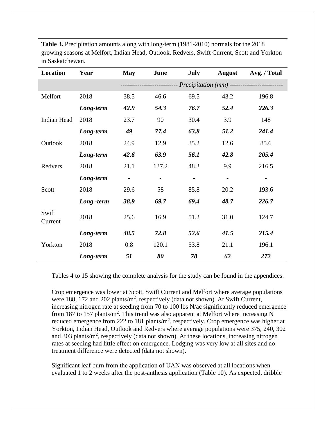| <b>Location</b>  | Year       | <b>May</b>     | June  | <b>July</b>    | <b>August</b>                                                  | Avg. / Total |
|------------------|------------|----------------|-------|----------------|----------------------------------------------------------------|--------------|
|                  |            |                |       |                | ----------------- <i>Precipitation</i> (mm) ------------------ |              |
| Melfort          | 2018       | 38.5           | 46.6  | 69.5           | 43.2                                                           | 196.8        |
|                  | Long-term  | 42.9           | 54.3  | 76.7           | 52.4                                                           | 226.3        |
| Indian Head      | 2018       | 23.7           | 90    | 30.4           | 3.9                                                            | 148          |
|                  | Long-term  | 49             | 77.4  | 63.8           | 51.2                                                           | 241.4        |
| Outlook          | 2018       | 24.9           | 12.9  | 35.2           | 12.6                                                           | 85.6         |
|                  | Long-term  | 42.6           | 63.9  | 56.1           | 42.8                                                           | 205.4        |
| Redvers          | 2018       | 21.1           | 137.2 | 48.3           | 9.9                                                            | 216.5        |
|                  | Long-term  | $\overline{a}$ |       | $\blacksquare$ | $\blacksquare$                                                 |              |
| Scott            | 2018       | 29.6           | 58    | 85.8           | 20.2                                                           | 193.6        |
|                  | Long -term | 38.9           | 69.7  | 69.4           | 48.7                                                           | 226.7        |
| Swift<br>Current | 2018       | 25.6           | 16.9  | 51.2           | 31.0                                                           | 124.7        |
|                  | Long-term  | 48.5           | 72.8  | 52.6           | 41.5                                                           | 215.4        |
| Yorkton          | 2018       | 0.8            | 120.1 | 53.8           | 21.1                                                           | 196.1        |
|                  | Long-term  | 51             | 80    | 78             | 62                                                             | 272          |

**Table 3.** Precipitation amounts along with long-term (1981-2010) normals for the 2018 growing seasons at Melfort, Indian Head, Outlook, Redvers, Swift Current, Scott and Yorkton in Saskatchewan.

Tables 4 to 15 showing the complete analysis for the study can be found in the appendices.

Crop emergence was lower at Scott, Swift Current and Melfort where average populations were 188, 172 and 202 plants/ $m^2$ , respectively (data not shown). At Swift Current, increasing nitrogen rate at seeding from 70 to 100 lbs N/ac significantly reduced emergence from 187 to 157 plants/ $m^2$ . This trend was also apparent at Melfort where increasing N reduced emergence from 222 to 181 plants/ $m^2$ , respectively. Crop emergence was higher at Yorkton, Indian Head, Outlook and Redvers where average populations were 375, 240, 302 and 303 plants/m<sup>2</sup>, respectively (data not shown). At these locations, increasing nitrogen rates at seeding had little effect on emergence. Lodging was very low at all sites and no treatment difference were detected (data not shown).

Significant leaf burn from the application of UAN was observed at all locations when evaluated 1 to 2 weeks after the post-anthesis application (Table 10). As expected, dribble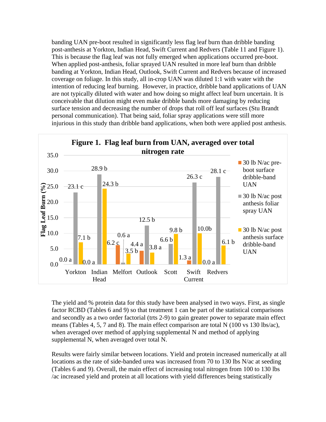banding UAN pre-boot resulted in significantly less flag leaf burn than dribble banding post-anthesis at Yorkton, Indian Head, Swift Current and Redvers (Table 11 and Figure 1). This is because the flag leaf was not fully emerged when applications occurred pre-boot. When applied post-anthesis, foliar sprayed UAN resulted in more leaf burn than dribble banding at Yorkton, Indian Head, Outlook, Swift Current and Redvers because of increased coverage on foliage. In this study, all in-crop UAN was diluted 1:1 with water with the intention of reducing leaf burning. However, in practice, dribble band applications of UAN are not typically diluted with water and how doing so might affect leaf burn uncertain. It is conceivable that dilution might even make dribble bands more damaging by reducing surface tension and decreasing the number of drops that roll off leaf surfaces (Stu Brandt personal communication). That being said, foliar spray applications were still more injurious in this study than dribble band applications, when both were applied post anthesis.



The yield and % protein data for this study have been analysed in two ways. First, as single factor RCBD (Tables 6 and 9) so that treatment 1 can be part of the statistical comparisons and secondly as a two order factorial (trts 2-9) to gain greater power to separate main effect means (Tables 4, 5, 7 and 8). The main effect comparison are total N (100 vs 130 lbs/ac), when averaged over method of applying supplemental N and method of applying supplemental N, when averaged over total N.

Results were fairly similar between locations. Yield and protein increased numerically at all locations as the rate of side-banded urea was increased from 70 to 130 lbs N/ac at seeding (Tables 6 and 9). Overall, the main effect of increasing total nitrogen from 100 to 130 lbs /ac increased yield and protein at all locations with yield differences being statistically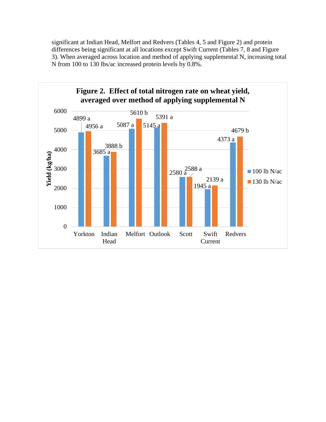significant at Indian Head, Melfort and Redvers (Tables 4, 5 and Figure 2) and protein differences being significant at all locations except Swift Current (Tables 7, 8 and Figure 3). When averaged across location and method of applying supplemental N, increasing total N from 100 to 130 lbs/ac increased protein levels by 0.8%.

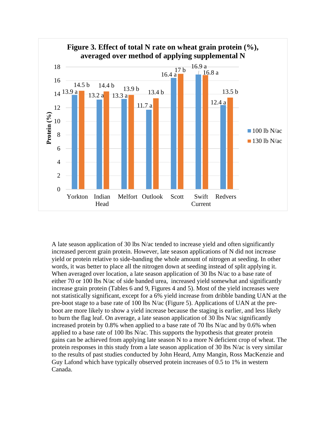

A late season application of 30 lbs N/ac tended to increase yield and often significantly increased percent grain protein. However, late season applications of N did not increase yield or protein relative to side-banding the whole amount of nitrogen at seeding. In other words, it was better to place all the nitrogen down at seeding instead of split applying it. When averaged over location, a late season application of 30 lbs N/ac to a base rate of either 70 or 100 lbs N/ac of side banded urea, increased yield somewhat and significantly increase grain protein (Tables 6 and 9, Figures 4 and 5). Most of the yield increases were not statistically significant, except for a 6% yield increase from dribble banding UAN at the pre-boot stage to a base rate of 100 lbs N/ac (Figure 5). Applications of UAN at the preboot are more likely to show a yield increase because the staging is earlier, and less likely to burn the flag leaf. On average, a late season application of 30 lbs N/ac significantly increased protein by 0.8% when applied to a base rate of 70 lbs N/ac and by 0.6% when applied to a base rate of 100 lbs N/ac. This supports the hypothesis that greater protein gains can be achieved from applying late season N to a more N deficient crop of wheat. The protein responses in this study from a late season application of 30 lbs N/ac is very similar to the results of past studies conducted by John Heard, Amy Mangin, Ross MacKenzie and Guy Lafond which have typically observed protein increases of 0.5 to 1% in western Canada.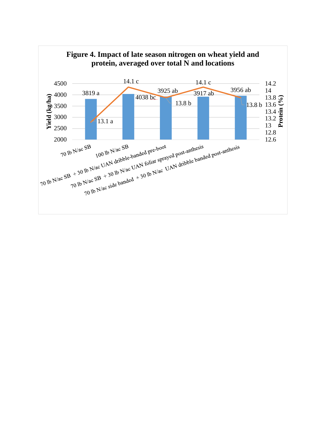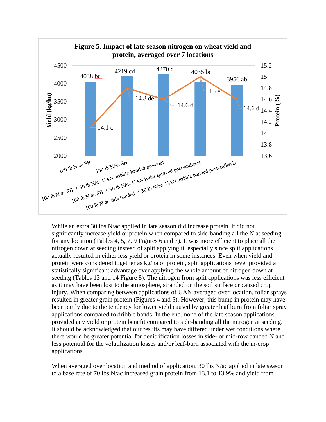

While an extra 30 lbs N/ac applied in late season did increase protein, it did not significantly increase yield or protein when compared to side-banding all the N at seeding for any location (Tables 4, 5, 7, 9 Figures 6 and 7). It was more efficient to place all the nitrogen down at seeding instead of split applying it, especially since split applications actually resulted in either less yield or protein in some instances. Even when yield and protein were considered together as kg/ha of protein, split applications never provided a statistically significant advantage over applying the whole amount of nitrogen down at seeding (Tables 13 and 14 Figure 8). The nitrogen from split applications was less efficient as it may have been lost to the atmosphere, stranded on the soil surface or caused crop injury. When comparing between applications of UAN averaged over location, foliar sprays resulted in greater grain protein (Figures 4 and 5). However, this bump in protein may have been partly due to the tendency for lower yield caused by greater leaf burn from foliar spray applications compared to dribble bands. In the end, none of the late season applications provided any yield or protein benefit compared to side-banding all the nitrogen at seeding. It should be acknowledged that our results may have differed under wet conditions where there would be greater potential for denitrification losses in side- or mid-row banded N and less potential for the volatilization losses and/or leaf-burn associated with the in-crop applications.

When averaged over location and method of application, 30 lbs N/ac applied in late season to a base rate of 70 lbs N/ac increased grain protein from 13.1 to 13.9% and yield from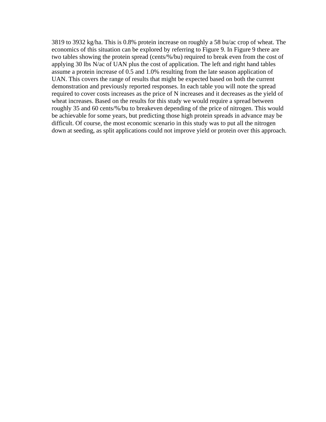3819 to 3932 kg/ha. This is 0.8% protein increase on roughly a 58 bu/ac crop of wheat. The economics of this situation can be explored by referring to Figure 9. In Figure 9 there are two tables showing the protein spread (cents/%/bu) required to break even from the cost of applying 30 lbs N/ac of UAN plus the cost of application. The left and right hand tables assume a protein increase of 0.5 and 1.0% resulting from the late season application of UAN. This covers the range of results that might be expected based on both the current demonstration and previously reported responses. In each table you will note the spread required to cover costs increases as the price of N increases and it decreases as the yield of wheat increases. Based on the results for this study we would require a spread between roughly 35 and 60 cents/%/bu to breakeven depending of the price of nitrogen. This would be achievable for some years, but predicting those high protein spreads in advance may be difficult. Of course, the most economic scenario in this study was to put all the nitrogen down at seeding, as split applications could not improve yield or protein over this approach.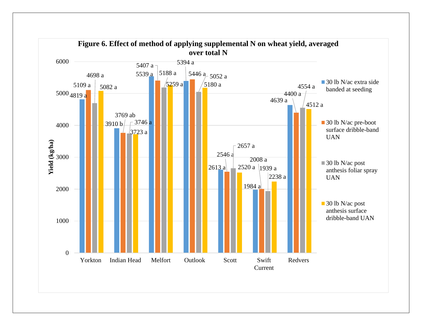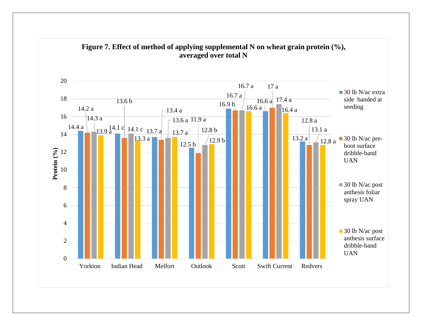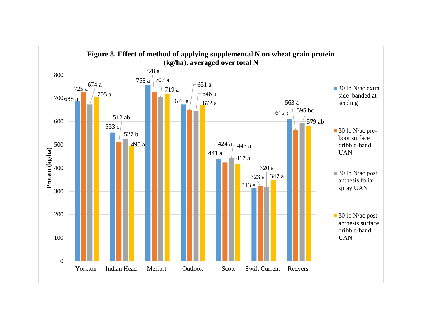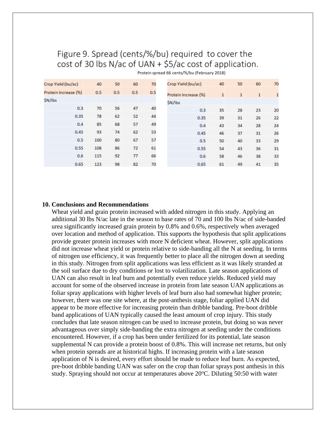# Figure 9. Spread (cents/%/bu) required to cover the cost of 30 lbs N/ac of UAN + \$5/ac cost of application.

| Crop Yield (bu/ac)   | 40  | 50  | 60  | 70  | Crop Yield (bu/ac)   | 40           | 50           | 60           | 70           |
|----------------------|-----|-----|-----|-----|----------------------|--------------|--------------|--------------|--------------|
| Protein Increase (%) | 0.5 | 0.5 | 0.5 | 0.5 | Protein Increase (%) | $\mathbf{1}$ | $\mathbf{1}$ | $\mathbf{1}$ | $\mathbf{1}$ |
| \$N/lbs              |     |     |     |     | \$N/lbs              |              |              |              |              |
| 0.3                  | 70  | 56  | 47  | 40  | 0.3                  | 35           | 28           | 23           | 20           |
| 0.35                 | 78  | 62  | 52  | 44  | 0.35                 | 39           | 31           | 26           | 22           |
| 0.4                  | 85  | 68  | 57  | 49  | 0.4                  | 43           | 34           | 28           | 24           |
| 0.45                 | 93  | 74  | 62  | 53  | 0.45                 | 46           | 37           | 31           | 26           |
| 0.5                  | 100 | 80  | 67  | 57  | 0.5                  | 50           | 40           | 33           | 29           |
| 0.55                 | 108 | 86  | 72  | 61  | 0.55                 | 54           | 43           | 36           | 31           |
| 0.6                  | 115 | 92  | 77  | 66  | 0.6                  | 58           | 46           | 38           | 33           |
| 0.65                 | 123 | 98  | 82  | 70  | 0.65                 | 61           | 49           | 41           | 35           |

Protein spread 66 cents/%/bu (February 2018)

### **10. Conclusions and Recommendations**

Wheat yield and grain protein increased with added nitrogen in this study. Applying an additional 30 lbs N/ac late in the season to base rates of 70 and 100 lbs N/ac of side-banded urea significantly increased grain protein by 0.8% and 0.6%, respectively when averaged over location and method of application. This supports the hypothesis that split applications provide greater protein increases with more N deficient wheat. However, split applications did not increase wheat yield or protein relative to side-banding all the N at seeding. In terms of nitrogen use efficiency, it was frequently better to place all the nitrogen down at seeding in this study. Nitrogen from split applications was less efficient as it was likely stranded at the soil surface due to dry conditions or lost to volatilization. Late season applications of UAN can also result in leaf burn and potentially even reduce yields. Reduced yield may account for some of the observed increase in protein from late season UAN applications as foliar spray applications with higher levels of leaf burn also had somewhat higher protein; however, there was one site where, at the post-anthesis stage, foliar applied UAN did appear to be more effective for increasing protein than dribble banding. Pre-boot dribble band applications of UAN typically caused the least amount of crop injury. This study concludes that late season nitrogen can be used to increase protein, but doing so was never advantageous over simply side-banding the extra nitrogen at seeding under the conditions encountered. However, if a crop has been under fertilized for its potential, late season supplemental N can provide a protein boost of 0.8%. This will increase net returns, but only when protein spreads are at historical highs. If increasing protein with a late season application of N is desired, every effort should be made to reduce leaf burn. As expected, pre-boot dribble banding UAN was safer on the crop than foliar sprays post anthesis in this study. Spraying should not occur at temperatures above  $20^{\circ}$ C. Diluting 50:50 with water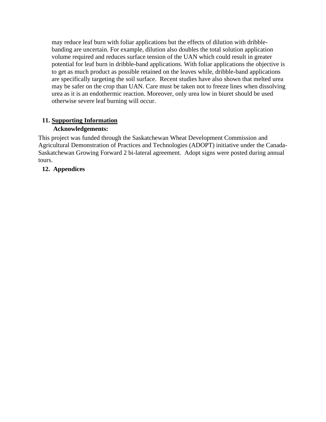may reduce leaf burn with foliar applications but the effects of dilution with dribblebanding are uncertain. For example, dilution also doubles the total solution application volume required and reduces surface tension of the UAN which could result in greater potential for leaf burn in dribble-band applications. With foliar applications the objective is to get as much product as possible retained on the leaves while, dribble-band applications are specifically targeting the soil surface. Recent studies have also shown that melted urea may be safer on the crop than UAN. Care must be taken not to freeze lines when dissolving urea as it is an endothermic reaction. Moreover, only urea low in biuret should be used otherwise severe leaf burning will occur.

## **11. Supporting Information**

## **Acknowledgements:**

This project was funded through the Saskatchewan Wheat Development Commission and Agricultural Demonstration of Practices and Technologies (ADOPT) initiative under the Canada-Saskatchewan Growing Forward 2 bi-lateral agreement. Adopt signs were posted during annual tours.

## **12. Appendices**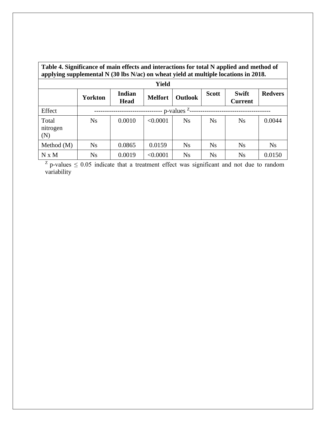| Table 4. Significance of main effects and interactions for total N applied and method of<br>applying supplemental N (30 lbs N/ac) on wheat yield at multiple locations in 2018. |                |                       |                |                |              |                         |                |  |  |  |  |
|---------------------------------------------------------------------------------------------------------------------------------------------------------------------------------|----------------|-----------------------|----------------|----------------|--------------|-------------------------|----------------|--|--|--|--|
| Yield                                                                                                                                                                           |                |                       |                |                |              |                         |                |  |  |  |  |
|                                                                                                                                                                                 | <b>Yorkton</b> | Indian<br><b>Head</b> | <b>Melfort</b> | <b>Outlook</b> | <b>Scott</b> | Swift<br><b>Current</b> | <b>Redvers</b> |  |  |  |  |
| Effect                                                                                                                                                                          | p-values $Z$ - |                       |                |                |              |                         |                |  |  |  |  |
| Total<br>nitrogen<br>(N)                                                                                                                                                        | N <sub>S</sub> | 0.0010                | < 0.0001       | <b>Ns</b>      | <b>Ns</b>    | <b>Ns</b>               | 0.0044         |  |  |  |  |
| Method $(M)$                                                                                                                                                                    | <b>Ns</b>      | 0.0865                | 0.0159         | <b>Ns</b>      | <b>Ns</b>    | <b>Ns</b>               | <b>Ns</b>      |  |  |  |  |
| N x M                                                                                                                                                                           | <b>Ns</b>      | 0.0019                | < 0.0001       | <b>Ns</b>      | <b>Ns</b>    | <b>Ns</b>               | 0.0150         |  |  |  |  |

 $Z$  p-values  $\leq 0.05$  indicate that a treatment effect was significant and not due to random variability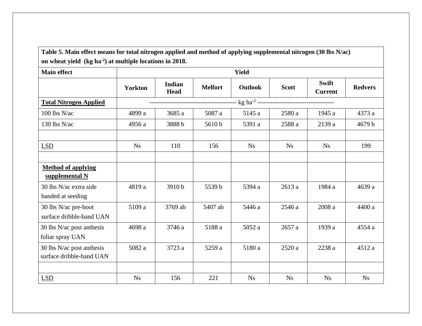**Table 5. Main effect means for total nitrogen applied and method of applying supplemental nitrogen (30 lbs N/ac) on wheat yield (kg ha-2 ) at multiple locations in 2018.**

| <b>Main effect</b>                                    |                | <b>Yield</b>          |                |                |              |                                |                |  |  |  |  |  |
|-------------------------------------------------------|----------------|-----------------------|----------------|----------------|--------------|--------------------------------|----------------|--|--|--|--|--|
|                                                       | <b>Yorkton</b> | Indian<br><b>Head</b> | <b>Melfort</b> | <b>Outlook</b> | <b>Scott</b> | <b>Swift</b><br><b>Current</b> | <b>Redvers</b> |  |  |  |  |  |
| <b>Total Nitrogen Applied</b>                         |                |                       |                |                |              |                                |                |  |  |  |  |  |
| $100$ lbs N/ac                                        | 4899 a         | 3685 a                | 5087 a         | 5145 a         | 2580 a       | 1945 a                         | 4373 a         |  |  |  |  |  |
| 130 lbs N/ac                                          | 4956 a         | 3888b                 | 5610b          | 5391 a         | 2588 a       | 2139 a                         | 4679 b         |  |  |  |  |  |
|                                                       |                |                       |                |                |              |                                |                |  |  |  |  |  |
| LSD                                                   | <b>Ns</b>      | 110                   | 156            | <b>Ns</b>      | <b>Ns</b>    | <b>Ns</b>                      | 199            |  |  |  |  |  |
|                                                       |                |                       |                |                |              |                                |                |  |  |  |  |  |
| <b>Method of applying</b><br>supplemental N           |                |                       |                |                |              |                                |                |  |  |  |  |  |
| 30 lbs N/ac extra side<br>banded at seeding           | 4819 a         | 3910b                 | 5539 b         | 5394 a         | 2613 a       | 1984 a                         | 4639 a         |  |  |  |  |  |
| 30 lbs N/ac pre-boot<br>surface dribble-band UAN      | 5109 a         | 3769 ab               | 5407 ab        | 5446 a         | 2546 a       | 2008 a                         | 4400 a         |  |  |  |  |  |
| 30 lbs N/ac post anthesis<br>foliar spray UAN         | 4698 a         | 3746 a                | 5188 a         | 5052 a         | 2657 a       | 1939 a                         | 4554 a         |  |  |  |  |  |
| 30 lbs N/ac post anthesis<br>surface dribble-band UAN | 5082 a         | 3723 a                | 5259 a         | 5180 a         | 2520 a       | 2238 a                         | 4512 a         |  |  |  |  |  |
|                                                       |                |                       |                |                |              |                                |                |  |  |  |  |  |
| LSD                                                   | <b>Ns</b>      | 156                   | 221            | N <sub>S</sub> | <b>Ns</b>    | <b>Ns</b>                      | <b>Ns</b>      |  |  |  |  |  |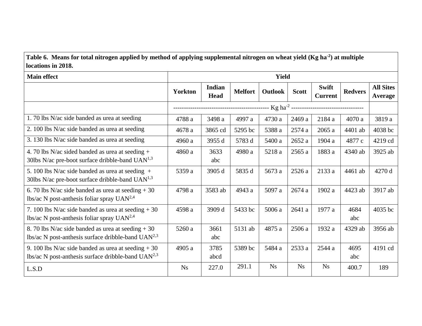**Table 6. Means for total nitrogen applied by method of applying supplemental nitrogen on wheat yield (Kg ha-2 ) at multiple locations in 2018.**

| <b>Main effect</b>                                                                                           |                                      |                       |                | <b>Yield</b>   |              |                                |                |                             |
|--------------------------------------------------------------------------------------------------------------|--------------------------------------|-----------------------|----------------|----------------|--------------|--------------------------------|----------------|-----------------------------|
|                                                                                                              | <b>Yorkton</b>                       | Indian<br><b>Head</b> | <b>Melfort</b> | <b>Outlook</b> | <b>Scott</b> | <b>Swift</b><br><b>Current</b> | <b>Redvers</b> | <b>All Sites</b><br>Average |
|                                                                                                              | ------------------------------------ |                       |                |                |              |                                |                |                             |
| 1.70 lbs N/ac side banded as urea at seeding                                                                 | 4788 a                               | 3498 a                | 4997 a         | 4730 a         | 2469 a       | 2184 a                         | 4070 a         | 3819 a                      |
| 2. 100 lbs N/ac side banded as urea at seeding                                                               | 4678 a                               | 3865 cd               | 5295 bc        | 5388 a         | 2574a        | 2065 a                         | 4401 ab        | 4038 bc                     |
| 3. 130 lbs N/ac side banded as urea at seeding                                                               | 4960 a                               | 3955 d                | 5783 d         | 5400 a         | 2652a        | 1904 a                         | 4877 c         | 4219 cd                     |
| 4. 70 lbs N/ac sided banded as urea at seeding +<br>30lbs N/ac pre-boot surface dribble-band $UAN1,3$        | 4860 a                               | 3633<br>abc           | 4980 a         | 5218 a         | 2565a        | 1883 a                         | 4340 ab        | 3925 ab                     |
| 5. 100 lbs N/ac side banded as urea at seeding $+$<br>30lbs N/ac pre-boot surface dribble-band $UAN1,3$      | 5359 a                               | 3905 d                | 5835 d         | 5673 a         | 2526 a       | 2133 a                         | 4461 ab        | 4270 d                      |
| 6. 70 lbs N/ac side banded as urea at seeding $+30$<br>lbs/ac N post-anthesis foliar spray $UAN^{2,4}$       | 4798 a                               | 3583 ab               | 4943 a         | 5097 a         | 2674a        | 1902 a                         | 4423 ab        | 3917 ab                     |
| 7. 100 lbs N/ac side banded as urea at seeding $+30$<br>lbs/ac N post-anthesis foliar spray $UAN^{2,4}$      | 4598 a                               | 3909 d                | 5433 bc        | 5006 a         | 2641a        | 1977 a                         | 4684<br>abc    | 4035 bc                     |
| 8. 70 lbs N/ac side banded as urea at seeding $+30$<br>lbs/ac N post-anthesis surface dribble-band $UAN2,3$  | 5260 a                               | 3661<br>abc           | 5131 ab        | 4875 a         | 2506 a       | 1932 a                         | 4329 ab        | 3956 ab                     |
| 9. 100 lbs N/ac side banded as urea at seeding $+30$<br>lbs/ac N post-anthesis surface dribble-band $UAN2,3$ | 4905 a                               | 3785<br>abcd          | 5389 bc        | 5484 a         | 2533 a       | 2544 a                         | 4695<br>abc    | 4191 cd                     |
| L.S.D                                                                                                        | <b>Ns</b>                            | 227.0                 | 291.1          | <b>Ns</b>      | <b>Ns</b>    | <b>Ns</b>                      | 400.7          | 189                         |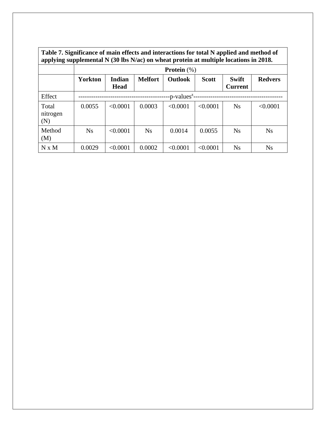| Table 7. Significance of main effects and interactions for total N applied and method of  |
|-------------------------------------------------------------------------------------------|
| applying supplemental $N(30$ lbs $N/ac$ ) on wheat protein at multiple locations in 2018. |

|                          | <b>Protein</b> $(\%)$    |                              |                |                |              |                                |                |  |  |  |  |  |
|--------------------------|--------------------------|------------------------------|----------------|----------------|--------------|--------------------------------|----------------|--|--|--|--|--|
|                          | <b>Yorkton</b>           | <b>Indian</b><br><b>Head</b> | <b>Melfort</b> | <b>Outlook</b> | <b>Scott</b> | <b>Swift</b><br><b>Current</b> | <b>Redvers</b> |  |  |  |  |  |
| Effect                   | -p-values <sup>z</sup> - |                              |                |                |              |                                |                |  |  |  |  |  |
| Total<br>nitrogen<br>(N) | 0.0055                   | < 0.0001                     | 0.0003         | < 0.0001       | < 0.0001     | <b>Ns</b>                      | < 0.0001       |  |  |  |  |  |
| Method<br>(M)            | Ns                       | < 0.0001                     | <b>Ns</b>      | 0.0014         | 0.0055       | <b>Ns</b>                      | <b>Ns</b>      |  |  |  |  |  |
| N x M                    | 0.0029                   | < 0.0001                     | 0.0002         | < 0.0001       | < 0.0001     | <b>Ns</b>                      | <b>Ns</b>      |  |  |  |  |  |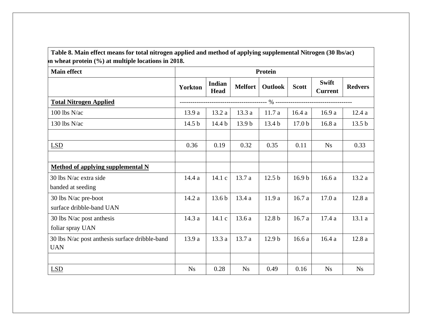**Table 8. Main effect means for total nitrogen applied and method of applying supplemental Nitrogen (30 lbs/ac) on wheat protein (%) at multiple locations in 2018.**

| <b>Main effect</b>                             | Protein           |                              |                   |                   |                   |                                |                   |  |  |
|------------------------------------------------|-------------------|------------------------------|-------------------|-------------------|-------------------|--------------------------------|-------------------|--|--|
|                                                | <b>Yorkton</b>    | <b>Indian</b><br><b>Head</b> | <b>Melfort</b>    | Outlook           | <b>Scott</b>      | <b>Swift</b><br><b>Current</b> | <b>Redvers</b>    |  |  |
| <b>Total Nitrogen Applied</b>                  |                   |                              |                   |                   |                   |                                |                   |  |  |
| 100 lbs N/ac                                   | 13.9 a            | 13.2 a                       | 13.3a             | 11.7a             | 16.4a             | 16.9a                          | 12.4a             |  |  |
| 130 lbs $N/ac$                                 | 14.5 <sub>b</sub> | 14.4 <sub>b</sub>            | 13.9 <sub>b</sub> | 13.4 <sub>b</sub> | 17.0 <sub>b</sub> | 16.8a                          | 13.5 <sub>b</sub> |  |  |
|                                                |                   |                              |                   |                   |                   |                                |                   |  |  |
| <b>LSD</b>                                     | 0.36              | 0.19                         | 0.32              | 0.35              | 0.11              | <b>Ns</b>                      | 0.33              |  |  |
|                                                |                   |                              |                   |                   |                   |                                |                   |  |  |
| <b>Method of applying supplemental N</b>       |                   |                              |                   |                   |                   |                                |                   |  |  |
| 30 lbs N/ac extra side                         | 14.4a             | 14.1 c                       | 13.7 a            | 12.5 <sub>b</sub> | 16.9 <sub>b</sub> | 16.6a                          | 13.2a             |  |  |
| banded at seeding                              |                   |                              |                   |                   |                   |                                |                   |  |  |
| 30 lbs N/ac pre-boot                           | 14.2a             | 13.6 <sub>b</sub>            | 13.4a             | 11.9 a            | 16.7a             | 17.0a                          | 12.8a             |  |  |
| surface dribble-band UAN                       |                   |                              |                   |                   |                   |                                |                   |  |  |
| 30 lbs $N/ac$ post anthesis                    | 14.3 a            | 14.1 c                       | 13.6 a            | 12.8 <sub>b</sub> | 16.7a             | 17.4a                          | 13.1a             |  |  |
| foliar spray UAN                               |                   |                              |                   |                   |                   |                                |                   |  |  |
| 30 lbs N/ac post anthesis surface dribble-band | 13.9 a            | 13.3a                        | 13.7 a            | 12.9 <sub>b</sub> | 16.6a             | 16.4a                          | 12.8a             |  |  |
| <b>UAN</b>                                     |                   |                              |                   |                   |                   |                                |                   |  |  |
|                                                |                   |                              |                   |                   |                   |                                |                   |  |  |
| <b>LSD</b>                                     | <b>Ns</b>         | 0.28                         | Ns                | 0.49              | 0.16              | N <sub>S</sub>                 | Ns                |  |  |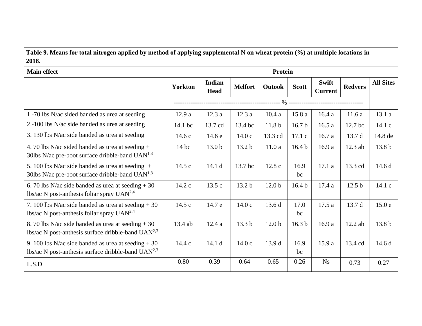**Table 9. Means for total nitrogen applied by method of applying supplemental N on wheat protein (%) at multiple locations in 2018.**

| <b>Main effect</b>                                                                                           | <b>Protein</b> |                       |                   |                   |                   |                                |                   |                   |
|--------------------------------------------------------------------------------------------------------------|----------------|-----------------------|-------------------|-------------------|-------------------|--------------------------------|-------------------|-------------------|
|                                                                                                              | <b>Yorkton</b> | Indian<br><b>Head</b> | <b>Melfort</b>    | Outook            | <b>Scott</b>      | <b>Swift</b><br><b>Current</b> | <b>Redvers</b>    | <b>All Sites</b>  |
|                                                                                                              |                |                       |                   |                   |                   |                                |                   |                   |
| 1.-70 lbs N/ac sided banded as urea at seeding                                                               | 12.9a          | 12.3a                 | 12.3a             | 10.4a             | 15.8a             | 16.4a                          | 11.6a             | 13.1a             |
| 2.-100 lbs N/ac side banded as urea at seeding                                                               | 14.1 bc        | 13.7 cd               | 13.4 bc           | 11.8 <sub>b</sub> | 16.7 <sub>b</sub> | 16.5a                          | 12.7 bc           | 14.1c             |
| 3. 130 lbs N/ac side banded as urea at seeding                                                               | 14.6c          | 14.6 e                | 14.0c             | 13.3 cd           | 17.1c             | 16.7a                          | 13.7 d            | 14.8 de           |
| 4.70 lbs N/ac sided banded as urea at seeding +<br>30lbs N/ac pre-boot surface dribble-band $UAN1,3$         | $14$ bc        | 13.0 <sub>b</sub>     | 13.2 <sub>b</sub> | 11.0a             | 16.4 <sub>b</sub> | 16.9 a                         | 12.3 ab           | 13.8 <sub>b</sub> |
| 5. 100 lbs N/ac side banded as urea at seeding $+$<br>30lbs N/ac pre-boot surface dribble-band $UAN1,3$      | 14.5 c         | 14.1 d                | 13.7 bc           | 12.8c             | 16.9<br>bc        | 17.1a                          | 13.3 cd           | 14.6d             |
| 6. 70 lbs N/ac side banded as urea at seeding $+30$<br>lbs/ac N post-anthesis foliar spray $UAN^{2,4}$       | 14.2 c         | 13.5c                 | 13.2 b            | 12.0 <sub>b</sub> | 16.4 <sub>b</sub> | 17.4a                          | 12.5 <sub>b</sub> | 14.1 c            |
| 7. 100 lbs N/ac side banded as urea at seeding $+30$<br>lbs/ac N post-anthesis foliar spray $UAN^{2,4}$      | 14.5 c         | 14.7 e                | 14.0c             | 13.6d             | 17.0<br>bc        | 17.5 a                         | 13.7 d            | 15.0e             |
| 8. 70 lbs N/ac side banded as urea at seeding $+30$<br>lbs/ac N post-anthesis surface dribble-band $UAN2,3$  | 13.4 ab        | 12.4a                 | 13.3 b            | 12.0 <sub>b</sub> | 16.3 <sub>b</sub> | 16.9 a                         | 12.2 ab           | 13.8 <sub>b</sub> |
| 9. 100 lbs N/ac side banded as urea at seeding $+30$<br>lbs/ac N post-anthesis surface dribble-band $UAN2,3$ | 14.4 c         | 14.1 d                | 14.0c             | 13.9 d            | 16.9<br>bc        | 15.9 a                         | 13.4 cd           | 14.6 d            |
| L.S.D                                                                                                        | 0.80           | 0.39                  | 0.64              | 0.65              | 0.26              | <b>Ns</b>                      | 0.73              | 0.27              |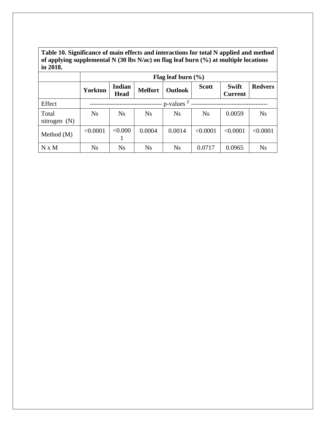**Table 10. Significance of main effects and interactions for total N applied and method of applying supplemental N (30 lbs N/ac) on flag leaf burn (%) at multiple locations in 2018.**

|                         | Flag leaf burn $(\% )$ |                              |                |                |              |                                |                |  |  |  |  |  |  |
|-------------------------|------------------------|------------------------------|----------------|----------------|--------------|--------------------------------|----------------|--|--|--|--|--|--|
|                         | <b>Yorkton</b>         | <b>Indian</b><br><b>Head</b> | <b>Melfort</b> | <b>Outlook</b> | <b>Scott</b> | <b>Swift</b><br><b>Current</b> | <b>Redvers</b> |  |  |  |  |  |  |
| Effect                  |                        | $p$ -values $z$ .            |                |                |              |                                |                |  |  |  |  |  |  |
| Total<br>nitrogen $(N)$ | <b>Ns</b>              | <b>Ns</b>                    | <b>Ns</b>      | N <sub>S</sub> | <b>Ns</b>    | 0.0059                         | <b>Ns</b>      |  |  |  |  |  |  |
| Method $(M)$            | < 0.0001               | < 0.000                      | 0.0004         | 0.0014         | < 0.0001     | < 0.0001                       | < 0.0001       |  |  |  |  |  |  |
| N x M                   | Ns                     | <b>Ns</b>                    | <b>Ns</b>      | <b>Ns</b>      | 0.0717       | 0.0965                         | <b>Ns</b>      |  |  |  |  |  |  |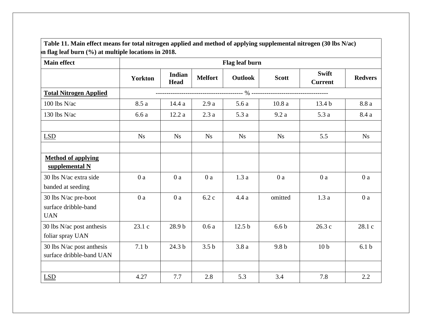| <b>Main effect</b>                                         | Flag leaf burn   |                              |                  |                   |                  |                                |                  |  |  |  |  |
|------------------------------------------------------------|------------------|------------------------------|------------------|-------------------|------------------|--------------------------------|------------------|--|--|--|--|
|                                                            | <b>Yorkton</b>   | <b>Indian</b><br><b>Head</b> | <b>Melfort</b>   | Outlook           | <b>Scott</b>     | <b>Swift</b><br><b>Current</b> | <b>Redvers</b>   |  |  |  |  |
| <b>Total Nitrogen Applied</b>                              |                  |                              |                  |                   |                  |                                |                  |  |  |  |  |
| $100$ lbs N/ac                                             | 8.5 a            | 14.4 a                       | 2.9a             | 5.6a              | 10.8a            | 13.4 <sub>b</sub>              | 8.8 a            |  |  |  |  |
| 130 lbs N/ac                                               | 6.6a             | 12.2a                        | 2.3a             | 5.3a              | 9.2a             | 5.3a                           | 8.4 a            |  |  |  |  |
| LSD                                                        | <b>Ns</b>        | Ns                           | Ns               | <b>Ns</b>         | Ns               | 5.5                            | Ns               |  |  |  |  |
| <b>Method of applying</b><br>supplemental N                |                  |                              |                  |                   |                  |                                |                  |  |  |  |  |
| 30 lbs N/ac extra side<br>banded at seeding                | 0a               | 0a                           | 0a               | 1.3a              | 0a               | 0a                             | 0a               |  |  |  |  |
| 30 lbs N/ac pre-boot<br>surface dribble-band<br><b>UAN</b> | 0a               | 0a                           | 6.2c             | 4.4a              | omitted          | 1.3a                           | 0a               |  |  |  |  |
| 30 lbs N/ac post anthesis<br>foliar spray UAN              | 23.1 c           | 28.9 b                       | 0.6a             | 12.5 <sub>b</sub> | 6.6 <sub>b</sub> | 26.3c                          | 28.1 c           |  |  |  |  |
| 30 lbs N/ac post anthesis<br>surface dribble-band UAN      | 7.1 <sub>b</sub> | 24.3 b                       | 3.5 <sub>b</sub> | 3.8a              | 9.8 <sub>b</sub> | 10 <sub>b</sub>                | 6.1 <sub>b</sub> |  |  |  |  |
|                                                            |                  |                              |                  |                   |                  |                                |                  |  |  |  |  |
| <b>LSD</b>                                                 | 4.27             | 7.7                          | 2.8              | 5.3               | 3.4              | 7.8                            | 2.2              |  |  |  |  |

Г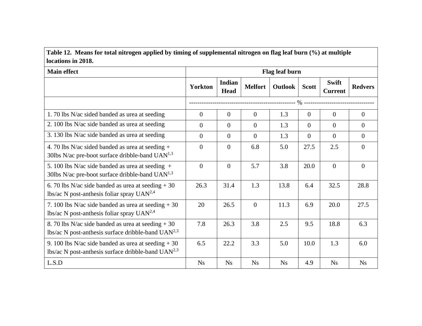# **Table 12. Means for total nitrogen applied by timing of supplemental nitrogen on flag leaf burn (%) at multiple locations in 2018.**

| <b>Main effect</b>                                                                                                | Flag leaf burn |                              |                |           |                |                                |                |  |  |
|-------------------------------------------------------------------------------------------------------------------|----------------|------------------------------|----------------|-----------|----------------|--------------------------------|----------------|--|--|
|                                                                                                                   | <b>Yorkton</b> | <b>Indian</b><br><b>Head</b> | <b>Melfort</b> | Outlook   | <b>Scott</b>   | <b>Swift</b><br><b>Current</b> | <b>Redvers</b> |  |  |
|                                                                                                                   |                |                              |                |           |                |                                |                |  |  |
| 1.70 lbs N/ac sided banded as urea at seeding                                                                     | $\theta$       | $\overline{0}$               | $\overline{0}$ | 1.3       | $\theta$       | $\theta$                       | $\overline{0}$ |  |  |
| 2. 100 lbs N/ac side banded as urea at seeding                                                                    | $\Omega$       | $\theta$                     | $\Omega$       | 1.3       | $\Omega$       | $\theta$                       | $\overline{0}$ |  |  |
| 3. 130 lbs N/ac side banded as urea at seeding                                                                    | $\overline{0}$ | $\overline{0}$               | $\overline{0}$ | 1.3       | $\overline{0}$ | $\overline{0}$                 | $\overline{0}$ |  |  |
| 4. 70 lbs N/ac sided banded as urea at seeding $+$<br>30lbs N/ac pre-boot surface dribble-band $UAN^{1,3}$        | $\overline{0}$ | $\overline{0}$               | 6.8            | 5.0       | 27.5           | 2.5                            | $\mathbf{0}$   |  |  |
| 5. 100 lbs N/ac side banded as urea at seeding $+$<br>30lbs N/ac pre-boot surface dribble-band UAN <sup>1,3</sup> | $\overline{0}$ | $\overline{0}$               | 5.7            | 3.8       | 20.0           | $\overline{0}$                 | $\overline{0}$ |  |  |
| 6. 70 lbs N/ac side banded as urea at seeding $+30$<br>lbs/ac N post-anthesis foliar spray $UAN^{2,4}$            | 26.3           | 31.4                         | 1.3            | 13.8      | 6.4            | 32.5                           | 28.8           |  |  |
| 7. 100 lbs N/ac side banded as urea at seeding $+30$<br>lbs/ac N post-anthesis foliar spray $UAN^{2,4}$           | 20             | 26.5                         | $\overline{0}$ | 11.3      | 6.9            | 20.0                           | 27.5           |  |  |
| 8. 70 lbs N/ac side banded as urea at seeding $+30$<br>lbs/ac N post-anthesis surface dribble-band $UAN2,3$       | 7.8            | 26.3                         | 3.8            | 2.5       | 9.5            | 18.8                           | 6.3            |  |  |
| 9. 100 lbs N/ac side banded as urea at seeding $+30$<br>lbs/ac N post-anthesis surface dribble-band $UAN2,3$      | 6.5            | 22.2                         | 3.3            | 5.0       | 10.0           | 1.3                            | 6.0            |  |  |
| L.S.D                                                                                                             | <b>Ns</b>      | <b>Ns</b>                    | <b>Ns</b>      | <b>Ns</b> | 4.9            | <b>Ns</b>                      | <b>Ns</b>      |  |  |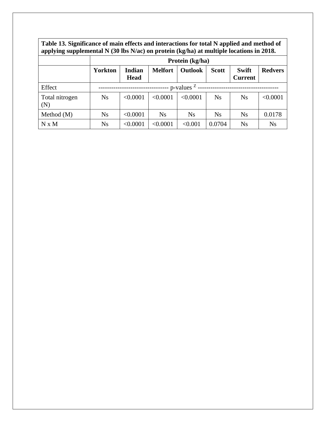**Table 13. Significance of main effects and interactions for total N applied and method of applying supplemental N (30 lbs N/ac) on protein (kg/ha) at multiple locations in 2018.**

|                       | Protein (kg/ha)  |                       |                |           |              |                                |                |  |  |  |  |
|-----------------------|------------------|-----------------------|----------------|-----------|--------------|--------------------------------|----------------|--|--|--|--|
|                       | <b>Yorkton</b>   | Indian<br><b>Head</b> | <b>Melfort</b> | Outlook   | <b>Scott</b> | <b>Swift</b><br><b>Current</b> | <b>Redvers</b> |  |  |  |  |
| Effect                | - p-values $Z$ - |                       |                |           |              |                                |                |  |  |  |  |
| Total nitrogen<br>(N) | <b>Ns</b>        | < 0.0001              | < 0.0001       | < 0.0001  | <b>Ns</b>    | <b>Ns</b>                      | < 0.0001       |  |  |  |  |
| Method $(M)$          | Ns               | < 0.0001              | <b>Ns</b>      | <b>Ns</b> | Ns           | <b>Ns</b>                      | 0.0178         |  |  |  |  |
| N x M                 | <b>Ns</b>        | < 0.0001              | < 0.0001       | < 0.001   | 0.0704       | <b>Ns</b>                      | <b>Ns</b>      |  |  |  |  |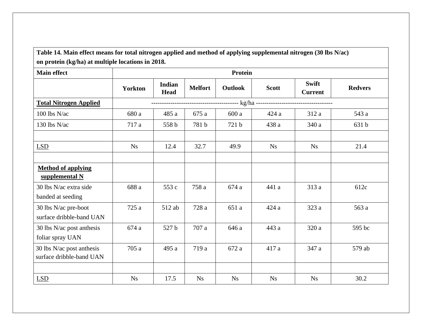**Table 14. Main effect means for total nitrogen applied and method of applying supplemental nitrogen (30 lbs N/ac) on protein (kg/ha) at multiple locations in 2018.**

| <b>Main effect</b>                                    | Protein        |                              |                |                |                        |                         |                |  |  |
|-------------------------------------------------------|----------------|------------------------------|----------------|----------------|------------------------|-------------------------|----------------|--|--|
|                                                       | <b>Yorkton</b> | <b>Indian</b><br><b>Head</b> | <b>Melfort</b> | <b>Outlook</b> | <b>Scott</b>           | Swift<br><b>Current</b> | <b>Redvers</b> |  |  |
| <b>Total Nitrogen Applied</b>                         |                |                              |                |                |                        |                         |                |  |  |
| 100 lbs N/ac                                          | 680 a          | 485 a                        | 675 a          | 600 a          | 424 a                  | 312 a                   | 543 a          |  |  |
| 130 lbs N/ac                                          | 717 a          | 558 b                        | 781 b          | 721 b          | 438 a                  | 340 a                   | 631 b          |  |  |
|                                                       |                |                              |                |                |                        |                         |                |  |  |
| LSD                                                   | <b>Ns</b>      | 12.4                         | 32.7           | 49.9           | <b>Ns</b>              | Ns                      | 21.4           |  |  |
|                                                       |                |                              |                |                |                        |                         |                |  |  |
| <b>Method of applying</b><br>supplemental N           |                |                              |                |                |                        |                         |                |  |  |
| 30 lbs N/ac extra side<br>banded at seeding           | 688 a          | 553 c                        | 758 a          | 674 a          | 441 a                  | 313 a                   | 612c           |  |  |
| 30 lbs N/ac pre-boot<br>surface dribble-band UAN      | 725 a          | 512 ab                       | 728 a          | 651 a          | 424a                   | 323 a                   | 563 a          |  |  |
| 30 lbs N/ac post anthesis<br>foliar spray UAN         | 674 a          | 527 b                        | 707 a          | 646 a          | 443 a                  | 320 a                   | 595 bc         |  |  |
| 30 lbs N/ac post anthesis<br>surface dribble-band UAN | 705 a          | 495 a                        | 719 a          | 672 a          | 417 a                  | 347 a                   | 579 ab         |  |  |
|                                                       |                |                              |                |                |                        |                         |                |  |  |
| <b>LSD</b>                                            | N <sub>S</sub> | 17.5                         | Ns             | Ns             | $\mathbf{N}\mathbf{s}$ | $\mathbf{N}\mathbf{s}$  | 30.2           |  |  |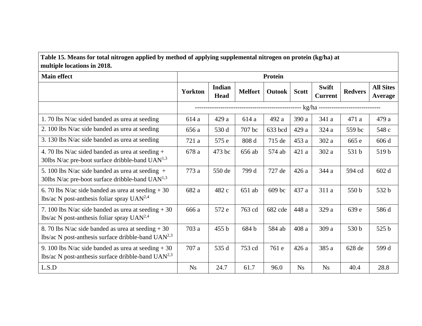## **Table 15. Means for total nitrogen applied by method of applying supplemental nitrogen on protein (kg/ha) at multiple locations in 2018.**

| <b>Main effect</b>                                                                                                  | <b>Protein</b>                                                |                       |                |               |              |                                |                |                                    |  |
|---------------------------------------------------------------------------------------------------------------------|---------------------------------------------------------------|-----------------------|----------------|---------------|--------------|--------------------------------|----------------|------------------------------------|--|
|                                                                                                                     | <b>Yorkton</b>                                                | Indian<br><b>Head</b> | <b>Melfort</b> | <b>Outook</b> | <b>Scott</b> | <b>Swift</b><br><b>Current</b> | <b>Redvers</b> | <b>All Sites</b><br><b>Average</b> |  |
|                                                                                                                     | ------------------------- kg/ha ----------------------------- |                       |                |               |              |                                |                |                                    |  |
| 1.70 lbs N/ac sided banded as urea at seeding                                                                       | 614 a                                                         | 429 a                 | 614 a          | 492 a         | 390 a        | 341 a                          | 471 a          | 479 a                              |  |
| 2. 100 lbs N/ac side banded as urea at seeding                                                                      | 656 a                                                         | 530 d                 | 707 bc         | 633 bcd       | 429 a        | 324 a                          | 559 bc         | 548 c                              |  |
| 3. 130 lbs N/ac side banded as urea at seeding                                                                      | 721 a                                                         | 575 e                 | 808 d          | 715 de        | 453 a        | 302 a                          | 665 e          | 606 d                              |  |
| 4. 70 lbs N/ac sided banded as urea at seeding $+$<br>30lbs N/ac pre-boot surface dribble-band $UAN$ <sup>1,3</sup> | 678 a                                                         | 473 bc                | 656 ab         | 574 ab        | 421 a        | 302 a                          | 531 b          | 519b                               |  |
| 5. 100 lbs N/ac side banded as urea at seeding $+$<br>30lbs N/ac pre-boot surface dribble-band $UAN1,3$             | 773 a                                                         | 550 de                | 799 d          | 727 de        | 426 a        | 344 a                          | 594 cd         | 602 d                              |  |
| 6. 70 lbs N/ac side banded as urea at seeding $+30$<br>lbs/ac N post-anthesis foliar spray $UAN^{2,4}$              | 682 a                                                         | 482 c                 | 651 ab         | 609 bc        | 437 a        | 311 a                          | 550 b          | 532 b                              |  |
| 7. 100 lbs N/ac side banded as urea at seeding $+30$<br>lbs/ac N post-anthesis foliar spray $UAN^{2,4}$             | 666 a                                                         | 572 e                 | 763 cd         | 682 cde       | 448 a        | 329 a                          | 639 e          | 586 d                              |  |
| 8. 70 lbs N/ac side banded as urea at seeding $+30$<br>lbs/ac N post-anthesis surface dribble-band $UAN2,3$         | 703 a                                                         | 455 b                 | 684 b          | 584 ab        | 408 a        | 309 a                          | 530 b          | 525 b                              |  |
| 9. 100 lbs N/ac side banded as urea at seeding $+30$<br>lbs/ac N post-anthesis surface dribble-band $UAN2,3$        | 707 a                                                         | 535 d                 | 753 cd         | 761 e         | 426 a        | 385 a                          | 628 de         | 599 d                              |  |
| L.S.D                                                                                                               | <b>Ns</b>                                                     | 24.7                  | 61.7           | 96.0          | <b>Ns</b>    | Ns                             | 40.4           | 28.8                               |  |